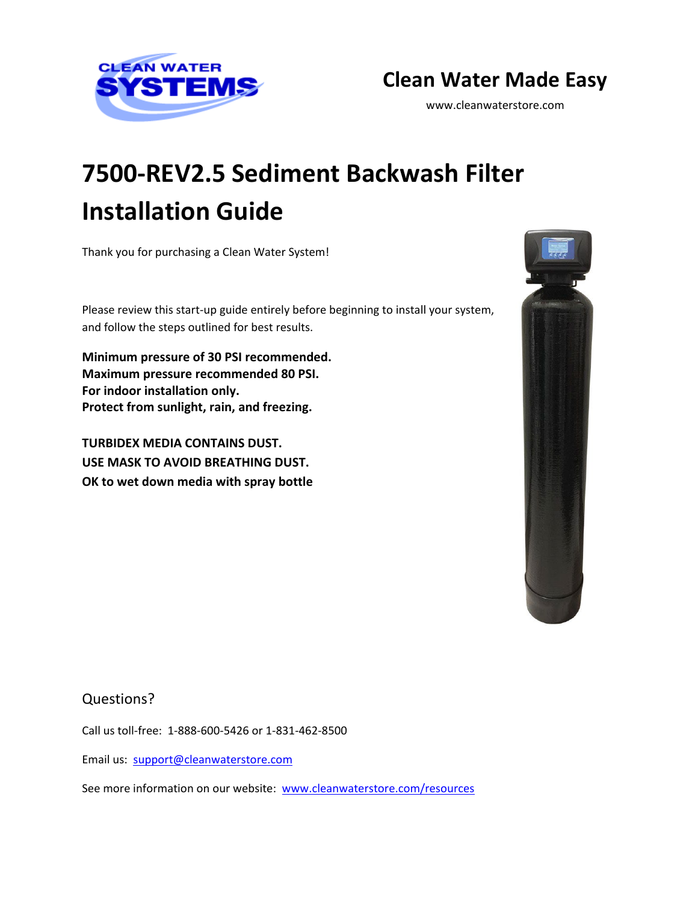

## **Clean Water Made Easy**

www.cleanwaterstore.com

# **7500-REV2.5 Sediment Backwash Filter Installation Guide**

Thank you for purchasing a Clean Water System!

Please review this start-up guide entirely before beginning to install your system, and follow the steps outlined for best results.

**Minimum pressure of 30 PSI recommended. Maximum pressure recommended 80 PSI. For indoor installation only. Protect from sunlight, rain, and freezing.**

**TURBIDEX MEDIA CONTAINS DUST. USE MASK TO AVOID BREATHING DUST. OK to wet down media with spray bottle**



Questions?

Call us toll-free: 1-888-600-5426 or 1-831-462-8500

Email us: [support@cleanwaterstore.com](mailto:support@cleanwaterstore.com)

See more information on our website: [www.cleanwaterstore.com/resources](http://www.cleanwaterstore.com/resources)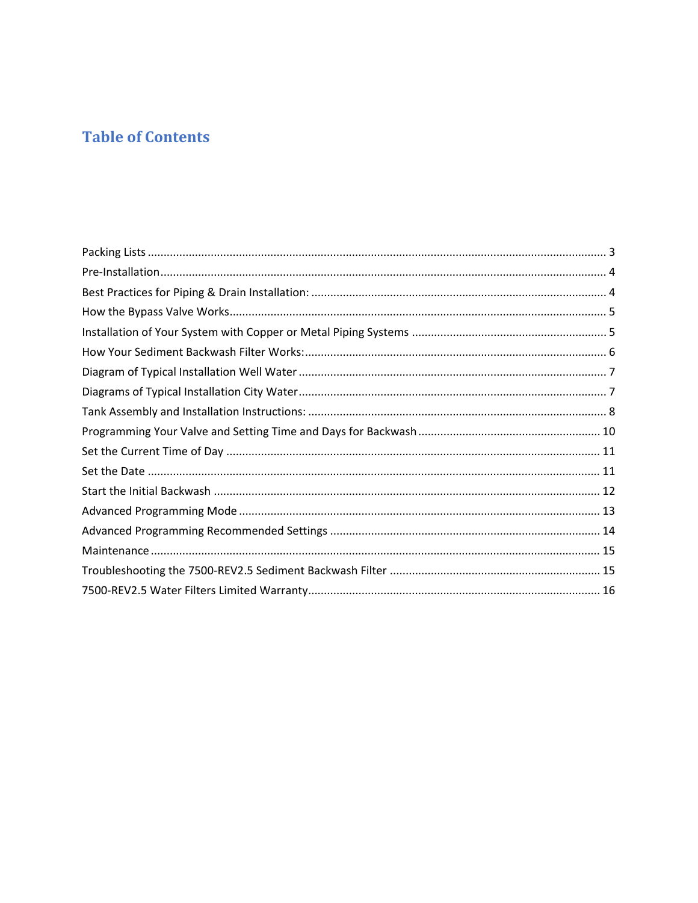## **Table of Contents**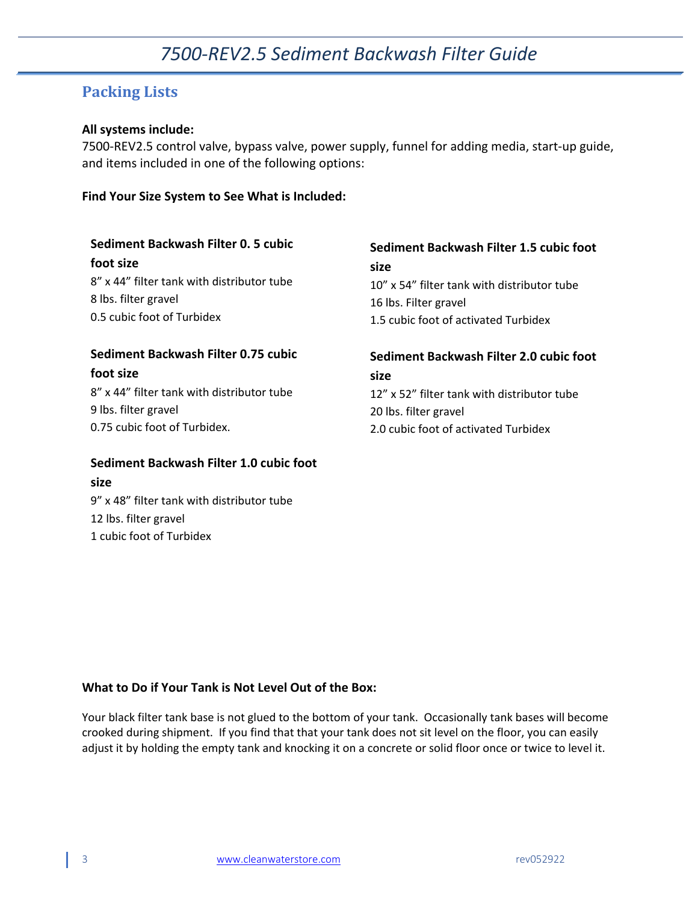### <span id="page-2-0"></span>**Packing Lists**

#### **All systems include:**

7500-REV2.5 control valve, bypass valve, power supply, funnel for adding media, start-up guide, and items included in one of the following options:

#### **Find Your Size System to See What is Included:**

| Sediment Backwash Filter 0. 5 cubic             | Sediment Backwash Filter 1.5 cubic foot     |
|-------------------------------------------------|---------------------------------------------|
| foot size                                       | size                                        |
| 8" x 44" filter tank with distributor tube      | 10" x 54" filter tank with distributor tube |
| 8 lbs. filter gravel                            | 16 lbs. Filter gravel                       |
| 0.5 cubic foot of Turbidex                      | 1.5 cubic foot of activated Turbidex        |
| Sediment Backwash Filter 0.75 cubic             | Sediment Backwash Filter 2.0 cubic foot     |
| foot size                                       | size                                        |
| 8" x 44" filter tank with distributor tube      | 12" x 52" filter tank with distributor tube |
| 9 lbs. filter gravel                            | 20 lbs. filter gravel                       |
| 0.75 cubic foot of Turbidex.                    | 2.0 cubic foot of activated Turbidex        |
| Sediment Backwash Filter 1.0 cubic foot<br>size |                                             |

1 cubic foot of Turbidex

9" x 48" filter tank with distributor tube

12 lbs. filter gravel

#### **What to Do if Your Tank is Not Level Out of the Box:**

Your black filter tank base is not glued to the bottom of your tank. Occasionally tank bases will become crooked during shipment. If you find that that your tank does not sit level on the floor, you can easily adjust it by holding the empty tank and knocking it on a concrete or solid floor once or twice to level it.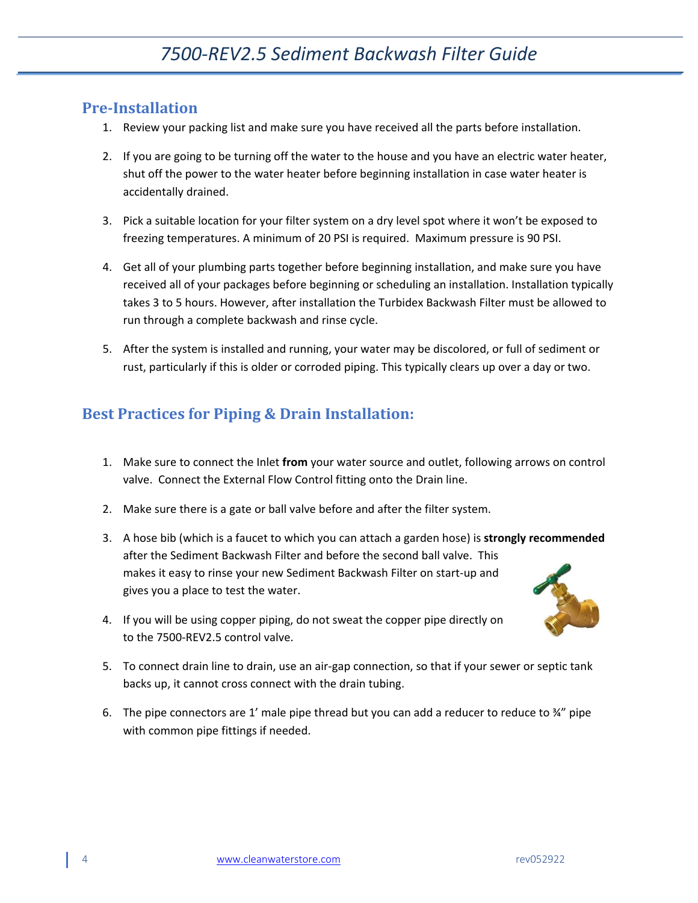### <span id="page-3-0"></span>**Pre-Installation**

- 1. Review your packing list and make sure you have received all the parts before installation.
- 2. If you are going to be turning off the water to the house and you have an electric water heater, shut off the power to the water heater before beginning installation in case water heater is accidentally drained.
- 3. Pick a suitable location for your filter system on a dry level spot where it won't be exposed to freezing temperatures. A minimum of 20 PSI is required. Maximum pressure is 90 PSI.
- 4. Get all of your plumbing parts together before beginning installation, and make sure you have received all of your packages before beginning or scheduling an installation. Installation typically takes 3 to 5 hours. However, after installation the Turbidex Backwash Filter must be allowed to run through a complete backwash and rinse cycle.
- 5. After the system is installed and running, your water may be discolored, or full of sediment or rust, particularly if this is older or corroded piping. This typically clears up over a day or two.

## <span id="page-3-1"></span>**Best Practices for Piping & Drain Installation:**

- 1. Make sure to connect the Inlet **from** your water source and outlet, following arrows on control valve. Connect the External Flow Control fitting onto the Drain line.
- 2. Make sure there is a gate or ball valve before and after the filter system.
- 3. A hose bib (which is a faucet to which you can attach a garden hose) is **strongly recommended** after the Sediment Backwash Filter and before the second ball valve. This makes it easy to rinse your new Sediment Backwash Filter on start-up and gives you a place to test the water.
- 4. If you will be using copper piping, do not sweat the copper pipe directly on to the 7500-REV2.5 control valve.
- 5. To connect drain line to drain, use an air-gap connection, so that if your sewer or septic tank backs up, it cannot cross connect with the drain tubing.
- 6. The pipe connectors are 1' male pipe thread but you can add a reducer to reduce to  $\frac{3}{4}$ " pipe with common pipe fittings if needed.

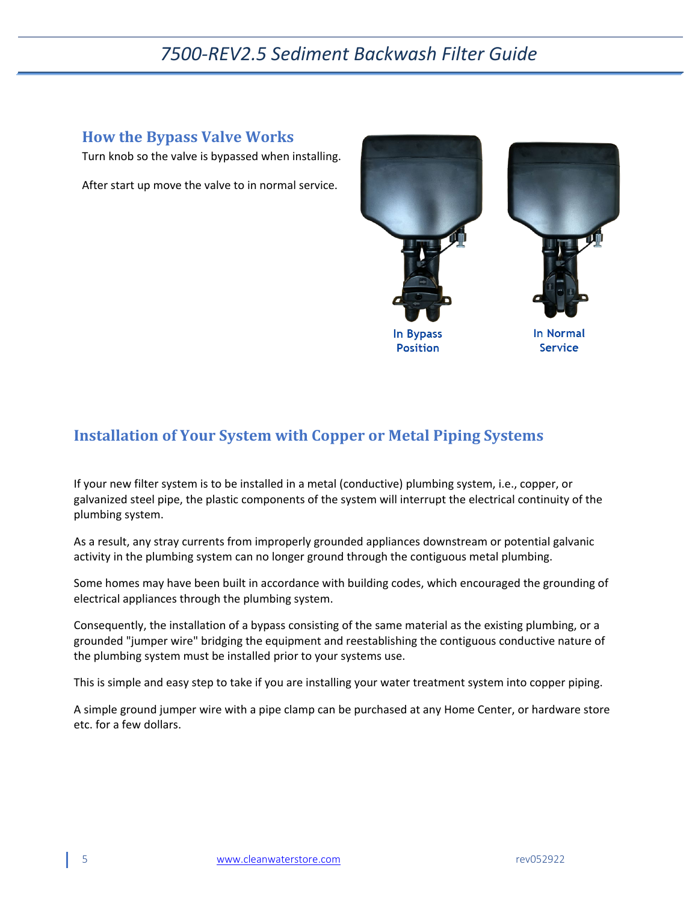### <span id="page-4-0"></span>**How the Bypass Valve Works**

Turn knob so the valve is bypassed when installing.

After start up move the valve to in normal service.



## <span id="page-4-1"></span>**Installation of Your System with Copper or Metal Piping Systems**

If your new filter system is to be installed in a metal (conductive) plumbing system, i.e., copper, or galvanized steel pipe, the plastic components of the system will interrupt the electrical continuity of the plumbing system.

As a result, any stray currents from improperly grounded appliances downstream or potential galvanic activity in the plumbing system can no longer ground through the contiguous metal plumbing.

Some homes may have been built in accordance with building codes, which encouraged the grounding of electrical appliances through the plumbing system.

Consequently, the installation of a bypass consisting of the same material as the existing plumbing, or a grounded "jumper wire" bridging the equipment and reestablishing the contiguous conductive nature of the plumbing system must be installed prior to your systems use.

This is simple and easy step to take if you are installing your water treatment system into copper piping.

A simple ground jumper wire with a pipe clamp can be purchased at any Home Center, or hardware store etc. for a few dollars.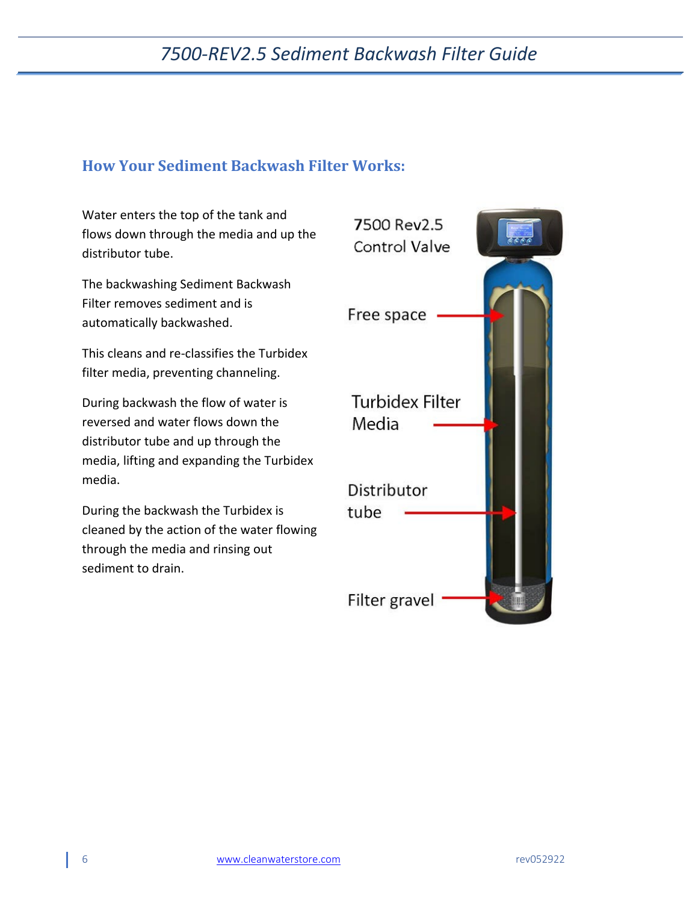### <span id="page-5-0"></span>**How Your Sediment Backwash Filter Works:**

Water enters the top of the tank and flows down through the media and up the distributor tube.

The backwashing Sediment Backwash Filter removes sediment and is automatically backwashed.

This cleans and re-classifies the Turbidex filter media, preventing channeling.

During backwash the flow of water is reversed and water flows down the distributor tube and up through the media, lifting and expanding the Turbidex media.

During the backwash the Turbidex is cleaned by the action of the water flowing through the media and rinsing out sediment to drain.

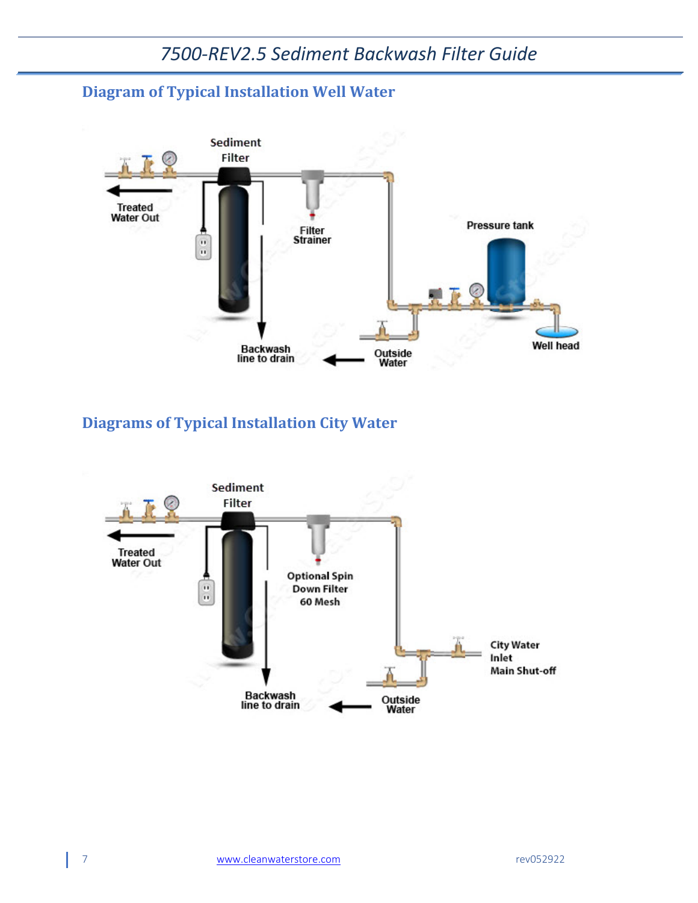## <span id="page-6-0"></span>**Diagram of Typical Installation Well Water**



## <span id="page-6-1"></span>**Diagrams of Typical Installation City Water**

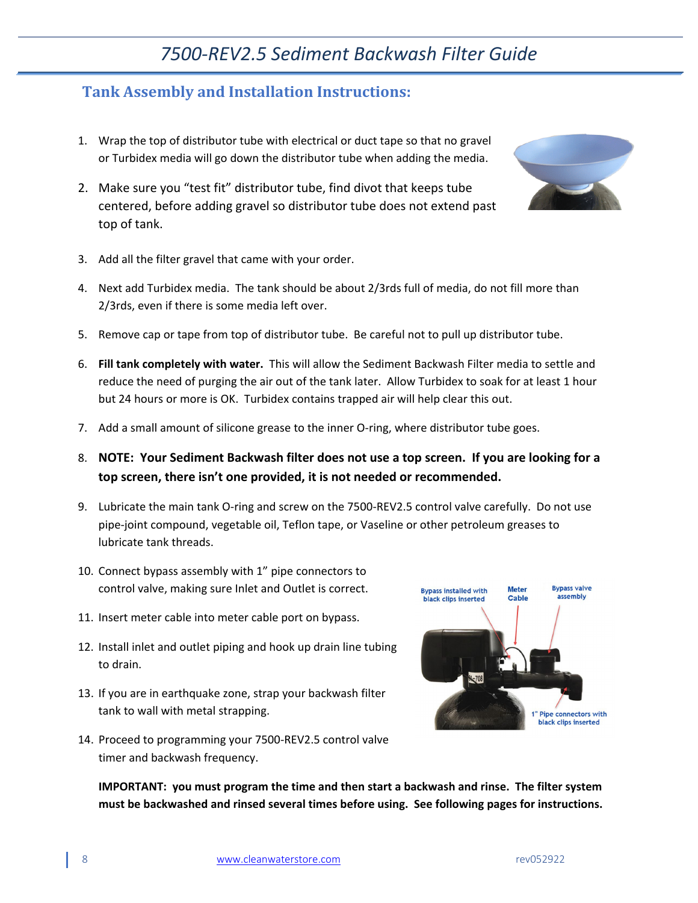### <span id="page-7-0"></span>**Tank Assembly and Installation Instructions:**

- 1. Wrap the top of distributor tube with electrical or duct tape so that no gravel or Turbidex media will go down the distributor tube when adding the media.
- 2. Make sure you "test fit" distributor tube, find divot that keeps tube centered, before adding gravel so distributor tube does not extend past top of tank.



- 3. Add all the filter gravel that came with your order.
- 4. Next add Turbidex media. The tank should be about 2/3rds full of media, do not fill more than 2/3rds, even if there is some media left over.
- 5. Remove cap or tape from top of distributor tube. Be careful not to pull up distributor tube.
- 6. **Fill tank completely with water.** This will allow the Sediment Backwash Filter media to settle and reduce the need of purging the air out of the tank later. Allow Turbidex to soak for at least 1 hour but 24 hours or more is OK. Turbidex contains trapped air will help clear this out.
- 7. Add a small amount of silicone grease to the inner O-ring, where distributor tube goes.
- 8. **NOTE: Your Sediment Backwash filter does not use a top screen. If you are looking for a top screen, there isn't one provided, it is not needed or recommended.**
- 9. Lubricate the main tank O-ring and screw on the 7500-REV2.5 control valve carefully. Do not use pipe-joint compound, vegetable oil, Teflon tape, or Vaseline or other petroleum greases to lubricate tank threads.
- 10. Connect bypass assembly with 1" pipe connectors to control valve, making sure Inlet and Outlet is correct.
- 11. Insert meter cable into meter cable port on bypass.
- 12. Install inlet and outlet piping and hook up drain line tubing to drain.
- 13. If you are in earthquake zone, strap your backwash filter tank to wall with metal strapping.
- 14. Proceed to programming your 7500-REV2.5 control valve timer and backwash frequency.



**IMPORTANT: you must program the time and then start a backwash and rinse. The filter system must be backwashed and rinsed several times before using. See following pages for instructions.**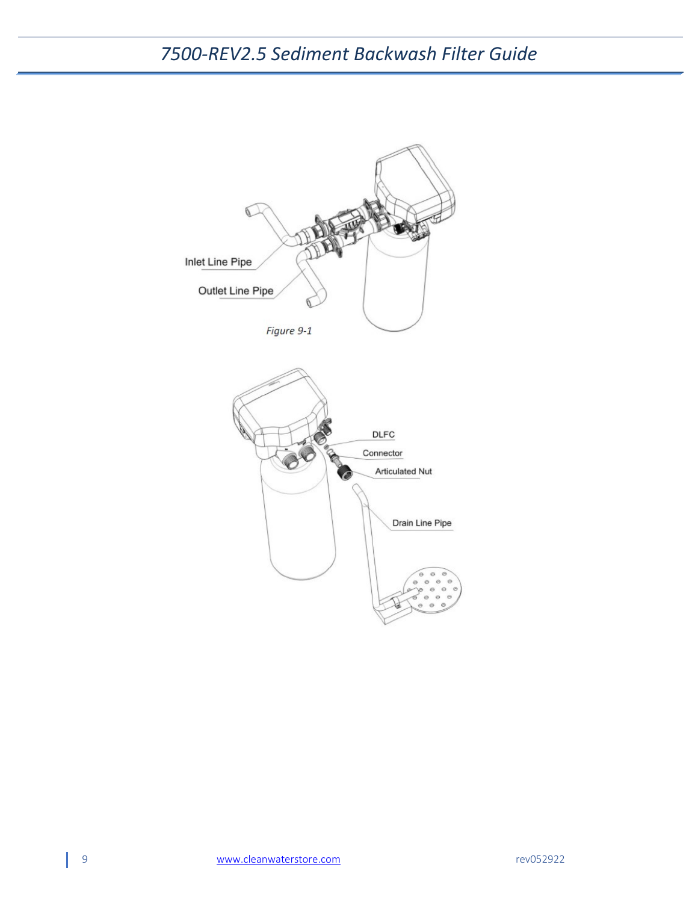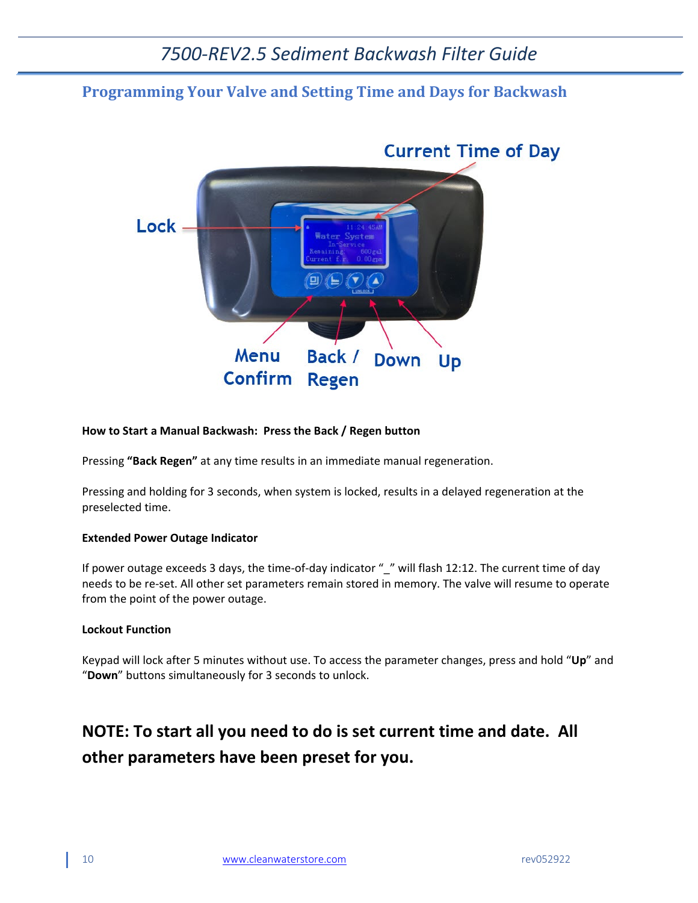### <span id="page-9-0"></span>**Programming Your Valve and Setting Time and Days for Backwash**



#### **How to Start a Manual Backwash: Press the Back / Regen button**

Pressing **"Back Regen"** at any time results in an immediate manual regeneration.

Pressing and holding for 3 seconds, when system is locked, results in a delayed regeneration at the preselected time.

#### **Extended Power Outage Indicator**

If power outage exceeds 3 days, the time-of-day indicator " " will flash 12:12. The current time of day needs to be re-set. All other set parameters remain stored in memory. The valve will resume to operate from the point of the power outage.

#### **Lockout Function**

Keypad will lock after 5 minutes without use. To access the parameter changes, press and hold "**Up**" and "**Down**" buttons simultaneously for 3 seconds to unlock.

## **NOTE: To start all you need to do is set current time and date. All other parameters have been preset for you.**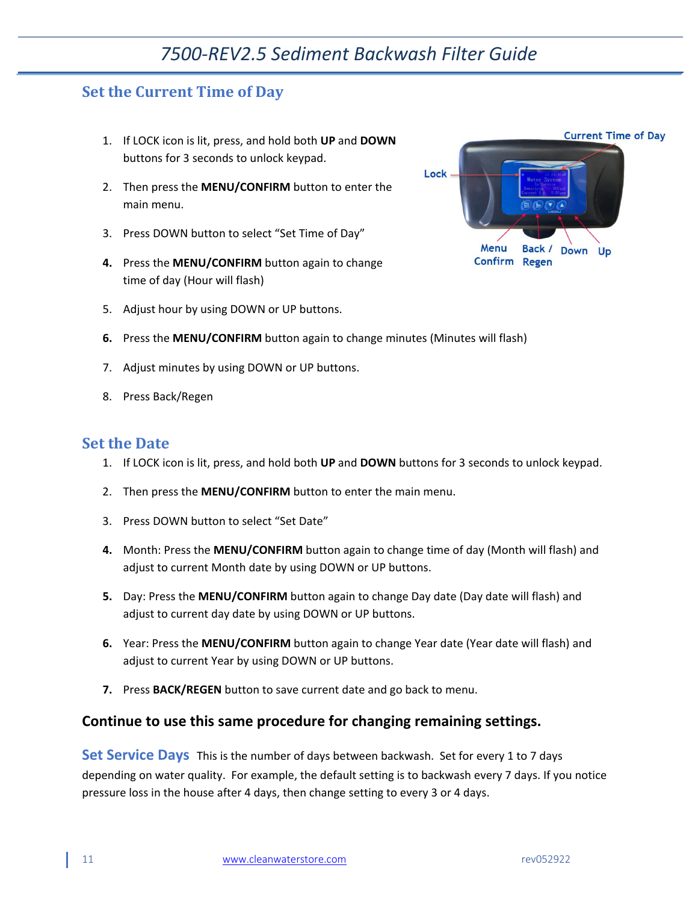### <span id="page-10-0"></span>**Set the Current Time of Day**

- 1. If LOCK icon is lit, press, and hold both **UP** and **DOWN** buttons for 3 seconds to unlock keypad.
- 2. Then press the **MENU/CONFIRM** button to enter the main menu.
- 3. Press DOWN button to select "Set Time of Day"
- **4.** Press the **MENU/CONFIRM** button again to change time of day (Hour will flash)
- 5. Adjust hour by using DOWN or UP buttons.
- **6.** Press the **MENU/CONFIRM** button again to change minutes (Minutes will flash)
- 7. Adjust minutes by using DOWN or UP buttons.
- 8. Press Back/Regen

#### <span id="page-10-1"></span>**Set the Date**

- 1. If LOCK icon is lit, press, and hold both **UP** and **DOWN** buttons for 3 seconds to unlock keypad.
- 2. Then press the **MENU/CONFIRM** button to enter the main menu.
- 3. Press DOWN button to select "Set Date"
- **4.** Month: Press the **MENU/CONFIRM** button again to change time of day (Month will flash) and adjust to current Month date by using DOWN or UP buttons.
- **5.** Day: Press the **MENU/CONFIRM** button again to change Day date (Day date will flash) and adjust to current day date by using DOWN or UP buttons.
- **6.** Year: Press the **MENU/CONFIRM** button again to change Year date (Year date will flash) and adjust to current Year by using DOWN or UP buttons.
- **7.** Press **BACK/REGEN** button to save current date and go back to menu.

#### **Continue to use this same procedure for changing remaining settings.**

**Set Service Days** This is the number of days between backwash. Set for every 1 to 7 days depending on water quality. For example, the default setting is to backwash every 7 days. If you notice pressure loss in the house after 4 days, then change setting to every 3 or 4 days.

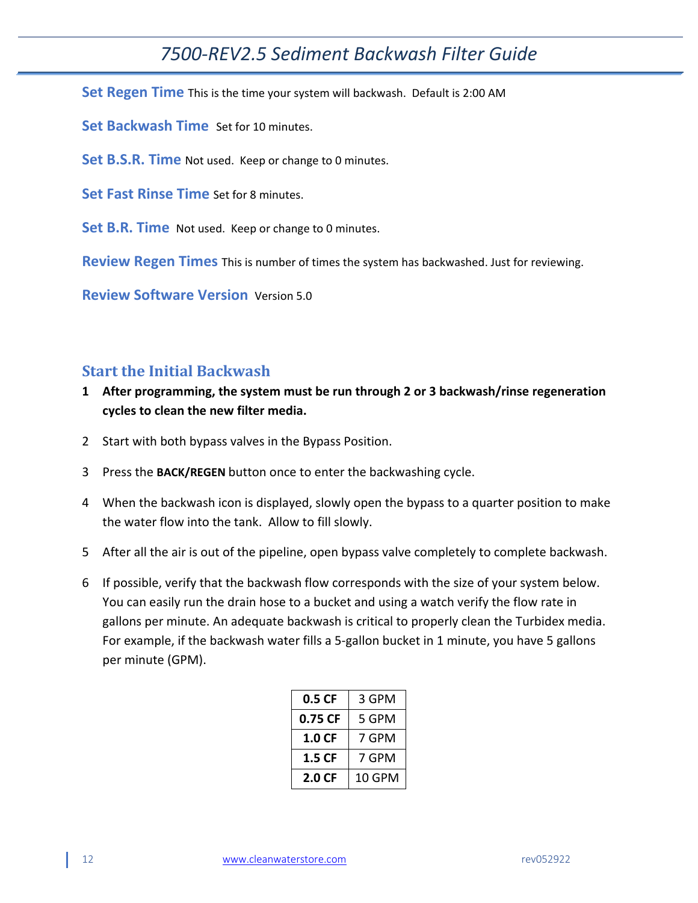**Set Regen Time** This is the time your system will backwash. Default is 2:00 AM

**Set Backwash Time** Set for 10 minutes.

**Set B.S.R. Time** Not used. Keep or change to 0 minutes.

**Set Fast Rinse Time** Set for 8 minutes.

**Set B.R. Time** Not used. Keep or change to 0 minutes.

**Review Regen Times** This is number of times the system has backwashed. Just for reviewing.

**Review Software Version** Version 5.0

### <span id="page-11-0"></span>**Start the Initial Backwash**

- **1 After programming, the system must be run through 2 or 3 backwash/rinse regeneration cycles to clean the new filter media.**
- 2 Start with both bypass valves in the Bypass Position.
- 3 Press the **BACK/REGEN** button once to enter the backwashing cycle.
- 4 When the backwash icon is displayed, slowly open the bypass to a quarter position to make the water flow into the tank. Allow to fill slowly.
- 5 After all the air is out of the pipeline, open bypass valve completely to complete backwash.
- 6 If possible, verify that the backwash flow corresponds with the size of your system below. You can easily run the drain hose to a bucket and using a watch verify the flow rate in gallons per minute. An adequate backwash is critical to properly clean the Turbidex media. For example, if the backwash water fills a 5-gallon bucket in 1 minute, you have 5 gallons per minute (GPM).

| 0.5CF             | 3 GPM  |
|-------------------|--------|
| 0.75 CF           | 5 GPM  |
| 1.0 <sub>CF</sub> | 7 GPM  |
| 1.5 CF            | 7 GPM  |
| 2.0 CF            | 10 GPM |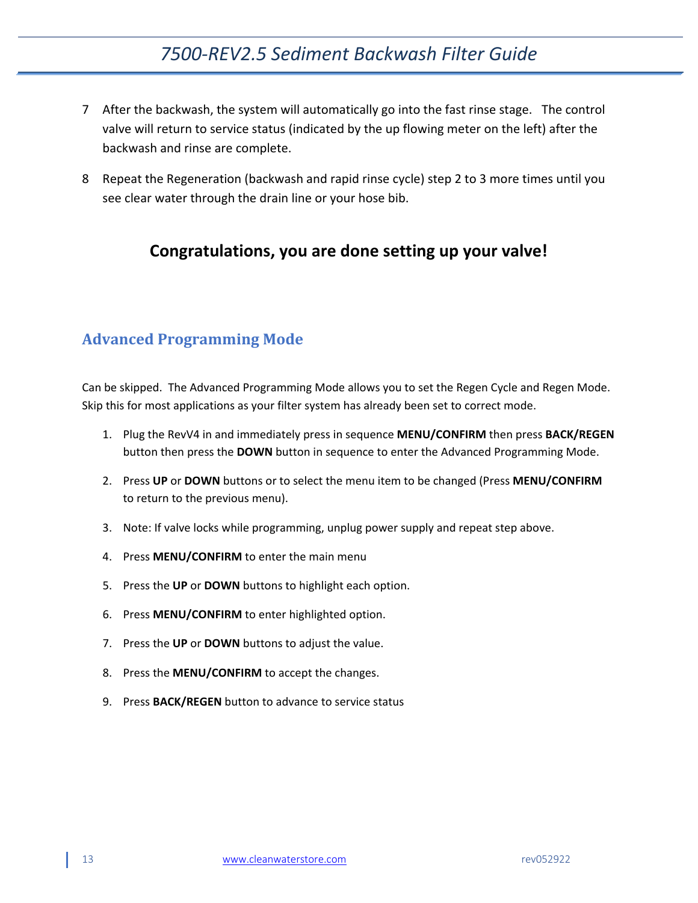- 7 After the backwash, the system will automatically go into the fast rinse stage. The control valve will return to service status (indicated by the up flowing meter on the left) after the backwash and rinse are complete.
- 8 Repeat the Regeneration (backwash and rapid rinse cycle) step 2 to 3 more times until you see clear water through the drain line or your hose bib.

### **Congratulations, you are done setting up your valve!**

### <span id="page-12-0"></span>**Advanced Programming Mode**

Can be skipped. The Advanced Programming Mode allows you to set the Regen Cycle and Regen Mode. Skip this for most applications as your filter system has already been set to correct mode.

- 1. Plug the RevV4 in and immediately press in sequence **MENU/CONFIRM** then press **BACK/REGEN**  button then press the **DOWN** button in sequence to enter the Advanced Programming Mode.
- 2. Press **UP** or **DOWN** buttons or to select the menu item to be changed (Press **MENU/CONFIRM**  to return to the previous menu).
- 3. Note: If valve locks while programming, unplug power supply and repeat step above.
- 4. Press **MENU/CONFIRM** to enter the main menu
- 5. Press the **UP** or **DOWN** buttons to highlight each option.
- 6. Press **MENU/CONFIRM** to enter highlighted option.
- 7. Press the **UP** or **DOWN** buttons to adjust the value.
- 8. Press the **MENU/CONFIRM** to accept the changes.
- 9. Press **BACK/REGEN** button to advance to service status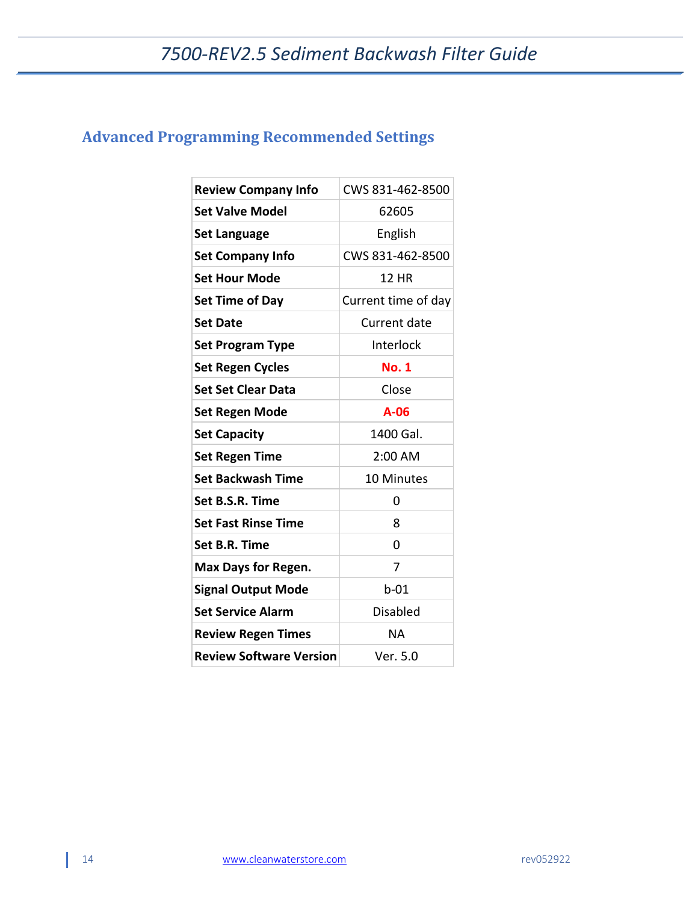## <span id="page-13-0"></span>**Advanced Programming Recommended Settings**

| <b>Review Company Info</b>     | CWS 831-462-8500    |
|--------------------------------|---------------------|
| <b>Set Valve Model</b>         | 62605               |
|                                |                     |
| <b>Set Language</b>            | English             |
| <b>Set Company Info</b>        | CWS 831-462-8500    |
| <b>Set Hour Mode</b>           | <b>12 HR</b>        |
| <b>Set Time of Day</b>         | Current time of day |
| <b>Set Date</b>                | Current date        |
| <b>Set Program Type</b>        | Interlock           |
| <b>Set Regen Cycles</b>        | <b>No. 1</b>        |
| <b>Set Set Clear Data</b>      | Close               |
| <b>Set Regen Mode</b>          | $A-06$              |
| <b>Set Capacity</b>            | 1400 Gal.           |
| <b>Set Regen Time</b>          | 2:00 AM             |
| <b>Set Backwash Time</b>       | <b>10 Minutes</b>   |
| Set B.S.R. Time                | 0                   |
| <b>Set Fast Rinse Time</b>     | 8                   |
| Set B.R. Time                  | $\Omega$            |
| <b>Max Days for Regen.</b>     | 7                   |
| <b>Signal Output Mode</b>      | $b-01$              |
| <b>Set Service Alarm</b>       | <b>Disabled</b>     |
| <b>Review Regen Times</b>      | ΝA                  |
| <b>Review Software Version</b> | Ver. 5.0            |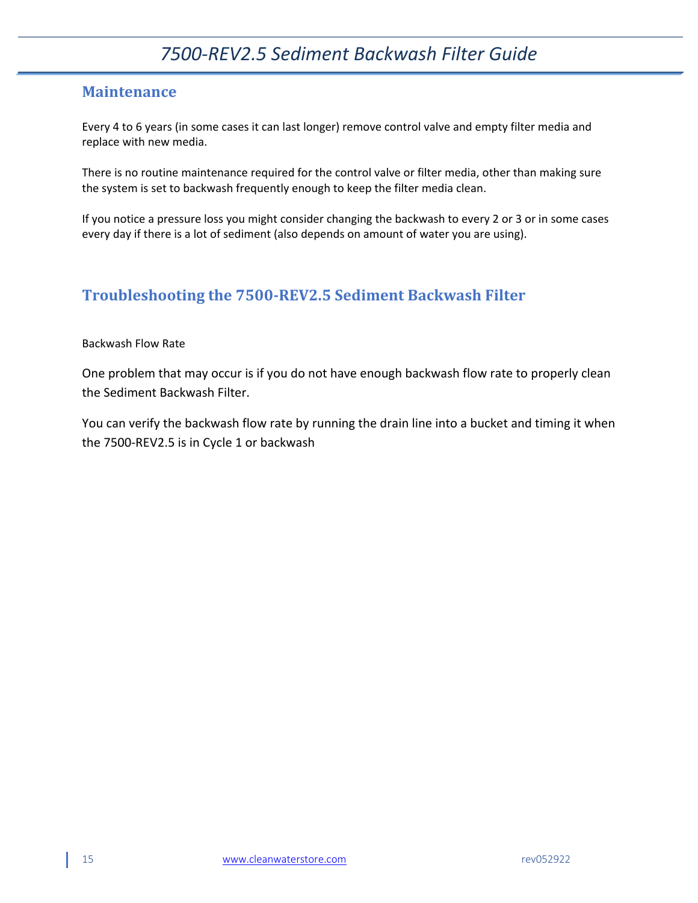### <span id="page-14-0"></span>**Maintenance**

Every 4 to 6 years (in some cases it can last longer) remove control valve and empty filter media and replace with new media.

There is no routine maintenance required for the control valve or filter media, other than making sure the system is set to backwash frequently enough to keep the filter media clean.

If you notice a pressure loss you might consider changing the backwash to every 2 or 3 or in some cases every day if there is a lot of sediment (also depends on amount of water you are using).

### <span id="page-14-1"></span>**Troubleshooting the 7500-REV2.5 Sediment Backwash Filter**

#### Backwash Flow Rate

One problem that may occur is if you do not have enough backwash flow rate to properly clean the Sediment Backwash Filter.

You can verify the backwash flow rate by running the drain line into a bucket and timing it when the 7500-REV2.5 is in Cycle 1 or backwash